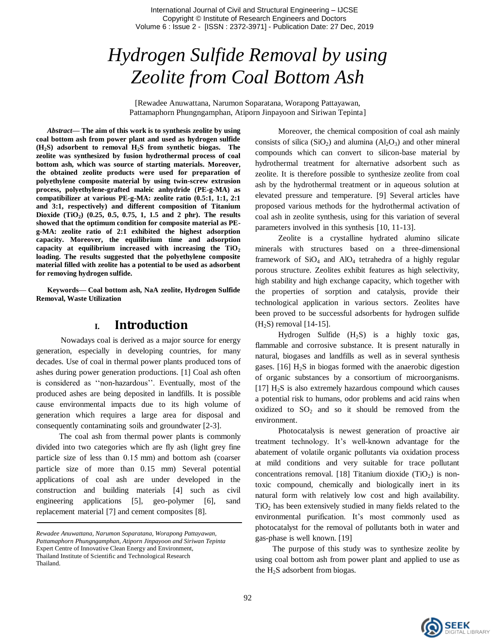# *Hydrogen Sulfide Removal by using Zeolite from Coal Bottom Ash*

[Rewadee Anuwattana, Narumon Soparatana, Worapong Pattayawan, Pattamaphorn Phungngamphan, Atiporn Jinpayoon and Siriwan Tepinta]

*Abstract***— The aim of this work is to synthesis zeolite by using coal bottom ash from power plant and used as hydrogen sulfide (H2S) adsorbent to removal H2S from synthetic biogas. The zeolite was synthesized by fusion hydrothermal process of coal bottom ash, which was source of starting materials. Moreover, the obtained zeolite products were used for preparation of polyethylene composite material by using twin-screw extrusion process, polyethylene**‐**grafted maleic anhydride (PE-g-MA) as compatibilizer at various PE-g-MA: zeolite ratio (0.5:1, 1:1, 2:1 and 3:1, respectively) and different composition of Titanium Dioxide (TiO<sup>2</sup> ) (0.25, 0.5, 0.75, 1, 1.5 and 2 phr). The results showed that the optimum condition for composite material as PEg-MA: zeolite ratio of 2:1 exhibited the highest adsorption capacity. Moreover, the equilibrium time and adsorption capacity at equilibrium increased with increasing the TiO<sup>2</sup> loading. The results suggested that the polyethylene composite material filled with zeolite has a potential to be used as adsorbent for removing hydrogen sulfide.**

**Keywords— Coal bottom ash, NaA zeolite, Hydrogen Sulfide Removal, Waste Utilization**

## **I. Introduction**

Nowadays coal is derived as a major source for energy generation, especially in developing countries, for many decades. Use of coal in thermal power plants produced tons of ashes during power generation productions. [1] Coal ash often is considered as "non-hazardous". Eventually, most of the produced ashes are being deposited in landfills. It is possible cause environmental impacts due to its high volume of generation which requires a large area for disposal and consequently contaminating soils and groundwater [2-3].

The coal ash from thermal power plants is commonly divided into two categories which are fly ash (light grey fine particle size of less than 0.15 mm) and bottom ash (coarser particle size of more than 0.15 mm) Several potential applications of coal ash are under developed in the construction and building materials [4] such as civil engineering applications [5], geo-polymer [6], sand replacement material [7] and cement composites [8].

Moreover, the chemical composition of coal ash mainly consists of silica  $(SiO<sub>2</sub>)$  and alumina  $(Al<sub>2</sub>O<sub>3</sub>)$  and other mineral compounds which can convert to silicon-base material by hydrothermal treatment for alternative adsorbent such as zeolite. It is therefore possible to synthesize zeolite from coal ash by the hydrothermal treatment or in aqueous solution at elevated pressure and temperature. [9] Several articles have proposed various methods for the hydrothermal activation of coal ash in zeolite synthesis, using for this variation of several parameters involved in this synthesis [10, 11-13].

Zeolite is a crystalline hydrated alumino silicate minerals with structures based on a three-dimensional framework of  $SiO<sub>4</sub>$  and  $AlO<sub>4</sub>$  tetrahedra of a highly regular porous structure. Zeolites exhibit features as high selectivity, high stability and high exchange capacity, which together with the properties of sorption and catalysis, provide their technological application in various sectors. Zeolites have been proved to be successful adsorbents for hydrogen sulfide  $(H<sub>2</sub>S)$  removal [14-15].

Hydrogen Sulfide  $(H_2S)$  is a highly toxic gas, flammable and corrosive substance. It is present naturally in natural, biogases and landfills as well as in several synthesis gases.  $[16]$  H<sub>2</sub>S in biogas formed with the anaerobic digestion of organic substances by a consortium of microorganisms.  $[17]$  H<sub>2</sub>S is also extremely hazardous compound which causes a potential risk to humans, odor problems and acid rains when oxidized to  $SO_2$  and so it should be removed from the environment.

Photocatalysis is newest generation of proactive air treatment technology. It"s well-known advantage for the abatement of volatile organic pollutants via oxidation process at mild conditions and very suitable for trace pollutant concentrations removal. [18] Titanium dioxide (TiO<sub>2</sub>) is nontoxic compound, chemically and biologically inert in its natural form with relatively low cost and high availability.  $TiO<sub>2</sub>$  has been extensively studied in many fields related to the environmental purification. It's most commonly used as photocatalyst for the removal of pollutants both in water and gas-phase is well known. [19]

The purpose of this study was to synthesize zeolite by using coal bottom ash from power plant and applied to use as the  $H_2S$  adsorbent from biogas.



*Rewadee Anuwattana, Narumon Soparatana, Worapong Pattayawan, Pattamaphorn Phungngamphan, Atiporn Jinpayoon and Siriwan Tepinta*  Expert Centre of Innovative Clean Energy and Environment, Thailand Institute of Scientific and Technological Research Thailand.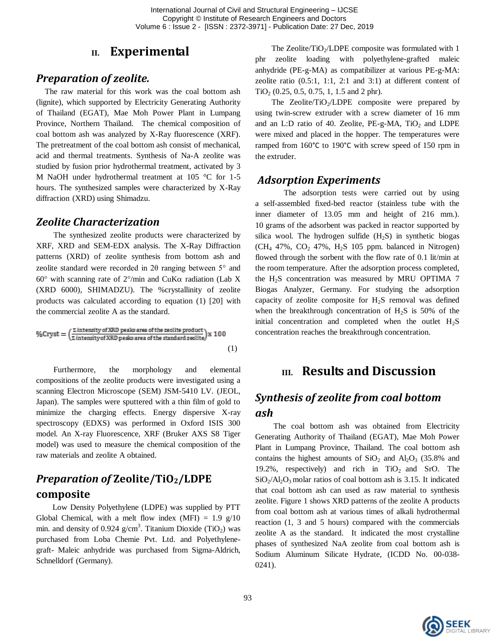## **II. Experimental**

### *Preparation of zeolite.*

The raw material for this work was the coal bottom ash (lignite), which supported by Electricity Generating Authority of Thailand (EGAT), Mae Moh Power Plant in Lumpang Province, Northern Thailand. The chemical composition of coal bottom ash was analyzed by X-Ray fluorescence (XRF). The pretreatment of the coal bottom ash consist of mechanical, acid and thermal treatments. Synthesis of Na-A zeolite was studied by fusion prior hydrothermal treatment, activated by 3 M NaOH under hydrothermal treatment at 105 °C for 1-5 hours. The synthesized samples were characterized by X-Ray diffraction (XRD) using Shimadzu.

#### *Zeolite Characterization*

The synthesized zeolite products were characterized by XRF, XRD and SEM-EDX analysis. The X-Ray Diffraction patterns (XRD) of zeolite synthesis from bottom ash and zeolite standard were recorded in  $2\theta$  ranging between  $5^{\circ}$  and  $60^{\circ}$  with scanning rate of  $2^{\circ}/$ min and CuK $\alpha$  radiation (Lab X) (XRD 6000), SHIMADZU). The %crystallinity of zeolite products was calculated according to equation (1) [20] with the commercial zeolite A as the standard.

$$
\%Cryst = \left(\frac{\Sigma \text{ intensity of XRD peaks area of the zedite product}}{\Sigma \text{ intensity of XRD peaks area of the standard zedite}}\right)x\ 100
$$
\n(1)

Furthermore, the morphology and elemental compositions of the zeolite products were investigated using a scanning Electron Microscope (SEM) JSM-5410 LV. (JEOL, Japan). The samples were sputtered with a thin film of gold to minimize the charging effects. Energy dispersive X-ray spectroscopy (EDXS) was performed in Oxford ISIS 300 model. An X-ray Fluorescence, XRF (Bruker AXS S8 Tiger model) was used to measure the chemical composition of the raw materials and zeolite A obtained.

# *Preparation of* **Zeolite/TiO2/LDPE composite**

Low Density Polyethylene (LDPE) was supplied by PTT Global Chemical, with a melt flow index (MFI) =  $1.9 \text{ g}/10$ min. and density of 0.924 g/cm<sup>3</sup>. Titanium Dioxide (TiO<sub>2</sub>) was purchased from Loba Chemie Pvt. Ltd. and Polyethylenegraft- Maleic anhydride was purchased from Sigma-Aldrich, Schnelldorf (Germany).

The Zeolite/TiO<sub>2</sub>/LDPE composite was formulated with 1 phr zeolite loading with polyethylene‐grafted maleic anhydride (PE-g-MA) as compatibilizer at various PE-g-MA: zeolite ratio (0.5:1, 1:1, 2:1 and 3:1) at different content of  $TiO<sub>2</sub>$  (0.25, 0.5, 0.75, 1, 1.5 and 2 phr).

The Zeolite/TiO<sub>2</sub>/LDPE composite were prepared by using twin-screw extruder with a screw diameter of 16 mm and an L:D ratio of 40. Zeolite,  $PE-g-MA$ ,  $TiO<sub>2</sub>$  and LDPE were mixed and placed in the hopper. The temperatures were ramped from 160°C to 190°C with screw speed of 150 rpm in the extruder.

#### *Adsorption Experiments*

The adsorption tests were carried out by using a self-assembled fixed-bed reactor (stainless tube with the inner diameter of 13.05 mm and height of 216 mm.). 10 grams of the adsorbent was packed in reactor supported by silica wool. The hydrogen sulfide  $(H_2S)$  in synthetic biogas  $(CH_4$  47%,  $CO_2$  47%,  $H_2S$  105 ppm. balanced in Nitrogen) flowed through the sorbent with the flow rate of 0.1 lit/min at the room temperature. After the adsorption process completed, the H2S concentration was measured by MRU OPTIMA 7 Biogas Analyzer, Germany. For studying the adsorption capacity of zeolite composite for  $H_2S$  removal was defined when the breakthrough concentration of  $H_2S$  is 50% of the initial concentration and completed when the outlet  $H_2S$ concentration reaches the breakthrough concentration.

## **III. Results and Discussion**

# *Synthesis of zeolite from coal bottom ash*

The coal bottom ash was obtained from Electricity Generating Authority of Thailand (EGAT), Mae Moh Power Plant in Lumpang Province, Thailand. The coal bottom ash contains the highest amounts of  $SiO<sub>2</sub>$  and  $Al<sub>2</sub>O<sub>3</sub>$  (35.8% and 19.2%, respectively) and rich in  $TiO<sub>2</sub>$  and SrO. The  $SiO<sub>2</sub>/Al<sub>2</sub>O<sub>3</sub>$  molar ratios of coal bottom ash is 3.15. It indicated that coal bottom ash can used as raw material to synthesis zeolite. Figure 1 shows XRD patterns of the zeolite A products from coal bottom ash at various times of alkali hydrothermal reaction (1, 3 and 5 hours) compared with the commercials zeolite A as the standard. It indicated the most crystalline phases of synthesized NaA zeolite from coal bottom ash is Sodium Aluminum Silicate Hydrate, (ICDD No. 00-038- 0241).

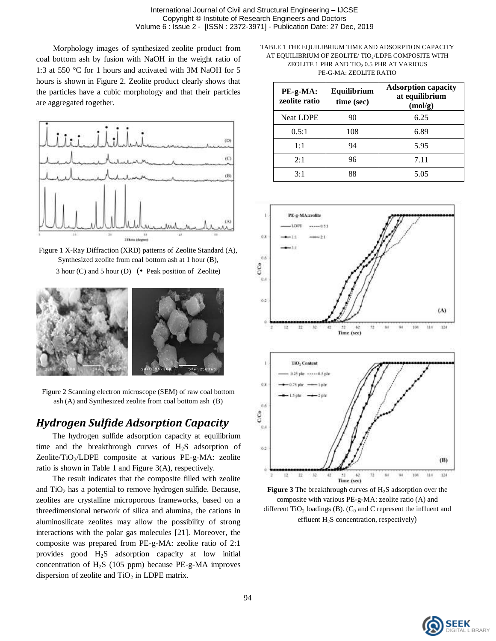Morphology images of synthesized zeolite product from coal bottom ash by fusion with NaOH in the weight ratio of 1:3 at 550  $\degree$ C for 1 hours and activated with 3M NaOH for 5 hours is shown in Figure 2. Zeolite product clearly shows that the particles have a cubic morphology and that their particles are aggregated together.



Figure 1 X-Ray Diffraction (XRD) patterns of Zeolite Standard (A), Synthesized zeolite from coal bottom ash at 1 hour (B), 3 hour (C) and 5 hour (D) (• Peak position of Zeolite)



Figure 2 Scanning electron microscope (SEM) of raw coal bottom ash (A) and Synthesized zeolite from coal bottom ash (B)

# *Hydrogen Sulfide Adsorption Capacity*

The hydrogen sulfide adsorption capacity at equilibrium time and the breakthrough curves of  $H<sub>2</sub>S$  adsorption of Zeolite/TiO<sub>2</sub>/LDPE composite at various PE-g-MA: zeolite ratio is shown in Table 1 and Figure 3(A), respectively.

The result indicates that the composite filled with zeolite and  $TiO<sub>2</sub>$  has a potential to remove hydrogen sulfide. Because, zeolites are crystalline microporous frameworks, based on a threedimensional network of silica and alumina, the cations in aluminosilicate zeolites may allow the possibility of strong interactions with the polar gas molecules [21]. Moreover, the composite was prepared from PE-g-MA: zeolite ratio of 2:1 provides good H2S adsorption capacity at low initial concentration of  $H_2S$  (105 ppm) because PE-g-MA improves dispersion of zeolite and  $TiO<sub>2</sub>$  in LDPE matrix.

TABLE 1 THE EQUILIBRIUM TIME AND ADSORPTION CAPACITY AT EQUILIBRIUM OF ZEOLITE/ TIO<sub>2</sub>/LDPE COMPOSITE WITH ZEOLITE 1 PHR AND TIO<sub>2</sub> 0.5 PHR AT VARIOUS PE-G-MA: ZEOLITE RATIO

| PE-g-MA:<br>zeolite ratio | Equilibrium<br>time (sec) | <b>Adsorption capacity</b><br>at equilibrium<br>(mol/g) |  |
|---------------------------|---------------------------|---------------------------------------------------------|--|
| <b>Neat LDPE</b>          | 90                        | 6.25                                                    |  |
| 0.5:1                     | 108                       | 6.89                                                    |  |
| 1:1                       | 94                        | 5.95                                                    |  |
| 2:1                       | 96                        | 7.11                                                    |  |
| 3:1                       | 88                        | 5.05                                                    |  |



Figure 3 The breakthrough curves of H<sub>2</sub>S adsorption over the composite with various PE-g-MA: zeolite ratio (A) and different  $TiO<sub>2</sub>$  loadings (B). (C<sub>0</sub> and C represent the influent and effluent  $H_2S$  concentration, respectively)

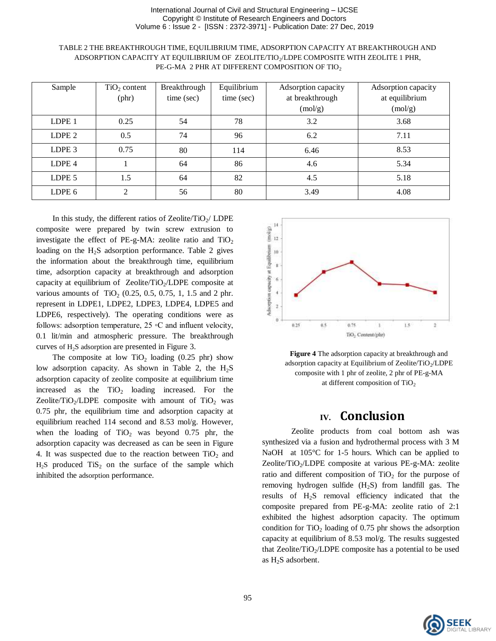| Sample            | $TiO2$ content | Breakthrough | Equilibrium | Adsorption capacity | Adsorption capacity |
|-------------------|----------------|--------------|-------------|---------------------|---------------------|
|                   |                |              |             |                     |                     |
|                   | $(\text{phr})$ | time (sec)   | time (sec)  | at breakthrough     | at equilibrium      |
|                   |                |              |             | (moly)              | (moly)              |
| LDPE <sub>1</sub> | 0.25           | 54           | 78          | 3.2                 | 3.68                |
| LDPE <sub>2</sub> | 0.5            | 74           | 96          | 6.2                 | 7.11                |
| LDPE <sub>3</sub> | 0.75           | 80           | 114         | 6.46                | 8.53                |
| LDPE <sub>4</sub> |                | 64           | 86          | 4.6                 | 5.34                |
| LDPE <sub>5</sub> | 1.5            | 64           | 82          | 4.5                 | 5.18                |
| LDPE 6            | $\mathfrak{D}$ | 56           | 80          | 3.49                | 4.08                |

TABLE 2 THE BREAKTHROUGH TIME, EQUILIBRIUM TIME, ADSORPTION CAPACITY AT BREAKTHROUGH AND ADSORPTION CAPACITY AT EQUILIBRIUM OF ZEOLITE/TIO<sub>2</sub>/LDPE COMPOSITE WITH ZEOLITE 1 PHR, PE-G-MA 2 PHR AT DIFFERENT COMPOSITION OF TIO2

In this study, the different ratios of Zeolite/TiO<sub>2</sub>/ LDPE composite were prepared by twin screw extrusion to investigate the effect of PE-g-MA: zeolite ratio and  $TiO<sub>2</sub>$ loading on the  $H_2S$  adsorption performance. Table 2 gives the information about the breakthrough time, equilibrium time, adsorption capacity at breakthrough and adsorption capacity at equilibrium of Zeolite/TiO<sub>2</sub>/LDPE composite at various amounts of TiO<sub>2</sub> (0.25, 0.5, 0.75, 1, 1.5 and 2 phr. represent in LDPE1, LDPE2, LDPE3, LDPE4, LDPE5 and LDPE6, respectively). The operating conditions were as follows: adsorption temperature,  $25 \circ C$  and influent velocity, 0.1 lit/min and atmospheric pressure. The breakthrough curves of H2S adsorption are presented in Figure 3.

The composite at low  $TiO<sub>2</sub>$  loading (0.25 phr) show low adsorption capacity. As shown in Table 2, the  $H_2S$ adsorption capacity of zeolite composite at equilibrium time increased as the  $TiO<sub>2</sub>$  loading increased. For the Zeolite/TiO<sub>2</sub>/LDPE composite with amount of TiO<sub>2</sub> was 0.75 phr, the equilibrium time and adsorption capacity at equilibrium reached 114 second and 8.53 mol/g. However, when the loading of  $TiO<sub>2</sub>$  was beyond 0.75 phr, the adsorption capacity was decreased as can be seen in Figure 4. It was suspected due to the reaction between  $TiO<sub>2</sub>$  and  $H_2S$  produced  $TiS_2$  on the surface of the sample which inhibited the adsorption performance.



**Figure 4** The adsorption capacity at breakthrough and adsorption capacity at Equilibrium of Zeolite/TiO2/LDPE composite with 1 phr of zeolite, 2 phr of PE-g-MA at different composition of  $TiO<sub>2</sub>$ 

# **IV. Conclusion**

Zeolite products from coal bottom ash was synthesized via a fusion and hydrothermal process with 3 M NaOH at  $105^{\circ}$ C for 1-5 hours. Which can be applied to Zeolite/TiO<sub>2</sub>/LDPE composite at various PE-g-MA: zeolite ratio and different composition of  $TiO<sub>2</sub>$  for the purpose of removing hydrogen sulfide  $(H_2S)$  from landfill gas. The results of H2S removal efficiency indicated that the composite prepared from PE-g-MA: zeolite ratio of 2:1 exhibited the highest adsorption capacity. The optimum condition for  $TiO<sub>2</sub>$  loading of 0.75 phr shows the adsorption capacity at equilibrium of 8.53 mol/g. The results suggested that Zeolite/TiO<sub>2</sub>/LDPE composite has a potential to be used as H2S adsorbent.